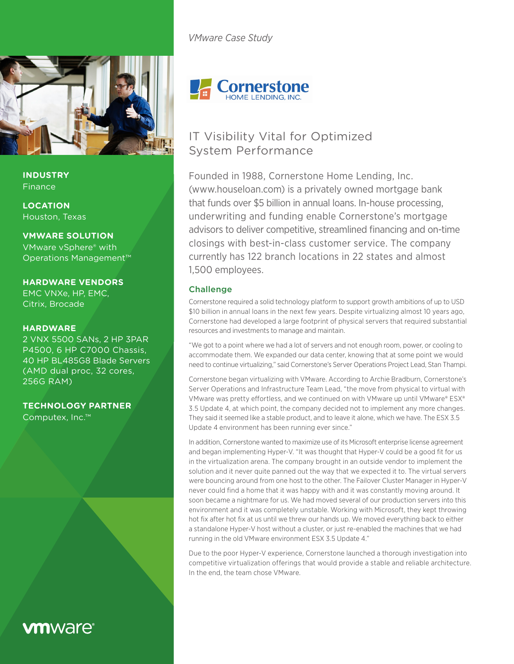



**INDUSTRY** Finance

**LOCATION** Houston, Texas

**VMWARE SOLUTION** VMware vSphere® with Operations Management™

**HARDWARE VENDORS** EMC VNXe, HP, EMC, Citrix, Brocade

## **HARDWARE**

2 VNX 5500 SANs, 2 HP 3PAR P4500, 6 HP C7000 Chassis, 40 HP BL485G8 Blade Servers (AMD dual proc, 32 cores, 256G RAM)

**TECHNOLOGY PARTNER**

Computex, Inc.™

# **vm**ware<sup>®</sup>

**Cornerstone** 

# IT Visibility Vital for Optimized System Performance

Founded in 1988, Cornerstone Home Lending, Inc. (www.houseloan.com) is a privately owned mortgage bank that funds over \$5 billion in annual loans. In-house processing, underwriting and funding enable Cornerstone's mortgage advisors to deliver competitive, streamlined financing and on-time closings with best-in-class customer service. The company currently has 122 branch locations in 22 states and almost 1,500 employees.

# Challenge

Cornerstone required a solid technology platform to support growth ambitions of up to USD \$10 billion in annual loans in the next few years. Despite virtualizing almost 10 years ago, Cornerstone had developed a large footprint of physical servers that required substantial resources and investments to manage and maintain.

"We got to a point where we had a lot of servers and not enough room, power, or cooling to accommodate them. We expanded our data center, knowing that at some point we would need to continue virtualizing," said Cornerstone's Server Operations Project Lead, Stan Thampi.

Cornerstone began virtualizing with VMware. According to Archie Bradburn, Cornerstone's Server Operations and Infrastructure Team Lead, "the move from physical to virtual with VMware was pretty effortless, and we continued on with VMware up until VMware® ESX® 3.5 Update 4, at which point, the company decided not to implement any more changes. They said it seemed like a stable product, and to leave it alone, which we have. The ESX 3.5 Update 4 environment has been running ever since."

In addition, Cornerstone wanted to maximize use of its Microsoft enterprise license agreement and began implementing Hyper-V. "It was thought that Hyper-V could be a good fit for us in the virtualization arena. The company brought in an outside vendor to implement the solution and it never quite panned out the way that we expected it to. The virtual servers were bouncing around from one host to the other. The Failover Cluster Manager in Hyper-V never could find a home that it was happy with and it was constantly moving around. It soon became a nightmare for us. We had moved several of our production servers into this environment and it was completely unstable. Working with Microsoft, they kept throwing hot fix after hot fix at us until we threw our hands up. We moved everything back to either a standalone Hyper-V host without a cluster, or just re-enabled the machines that we had running in the old VMware environment ESX 3.5 Update 4."

Due to the poor Hyper-V experience, Cornerstone launched a thorough investigation into competitive virtualization offerings that would provide a stable and reliable architecture. In the end, the team chose VMware.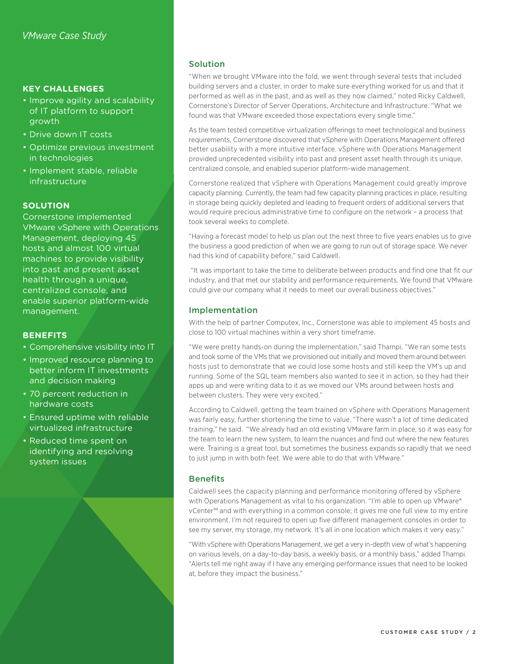# **KEY CHALLENGES**

- Improve agility and scalability of IT platform to support growth
- • Drive down IT costs
- Optimize previous investment in technologies
- • Implement stable, reliable infrastructure

#### **SOLUTION**

Cornerstone implemented VMware vSphere with Operations Management, deploying 45 hosts and almost 100 virtual machines to provide visibility into past and present asset health through a unique, centralized console, and enable superior platform-wide management.

#### **BENEFITS**

- Comprehensive visibility into IT
- Improved resource planning to better inform IT investments and decision making
- 70 percent reduction in hardware costs
- Ensured uptime with reliable virtualized infrastructure
- Reduced time spent on identifying and resolving system issues

#### Solution

"When we brought VMware into the fold, we went through several tests that included building servers and a cluster, in order to make sure everything worked for us and that it performed as well as in the past, and as well as they now claimed," noted Ricky Caldwell, Cornerstone's Director of Server Operations, Architecture and Infrastructure. "What we found was that VMware exceeded those expectations every single time."

As the team tested competitive virtualization offerings to meet technological and business requirements, Cornerstone discovered that vSphere with Operations Management offered better usability with a more intuitive interface. vSphere with Operations Management provided unprecedented visibility into past and present asset health through its unique, centralized console, and enabled superior platform-wide management.

Cornerstone realized that vSphere with Operations Management could greatly improve capacity planning. Currently, the team had few capacity planning practices in place, resulting in storage being quickly depleted and leading to frequent orders of additional servers that would require precious administrative time to configure on the network – a process that took several weeks to complete.

"Having a forecast model to help us plan out the next three to five years enables us to give the business a good prediction of when we are going to run out of storage space. We never had this kind of capability before," said Caldwell.

 "It was important to take the time to deliberate between products and find one that fit our industry, and that met our stability and performance requirements. We found that VMware could give our company what it needs to meet our overall business objectives."

#### Implementation

With the help of partner Computex, Inc., Cornerstone was able to implement 45 hosts and close to 100 virtual machines within a very short timeframe.

"We were pretty hands-on during the implementation," said Thampi. "We ran some tests and took some of the VMs that we provisioned out initially and moved them around between hosts just to demonstrate that we could lose some hosts and still keep the VM's up and running. Some of the SQL team members also wanted to see it in action, so they had their apps up and were writing data to it as we moved our VMs around between hosts and between clusters. They were very excited."

According to Caldwell, getting the team trained on vSphere with Operations Management was fairly easy, further shortening the time to value. "There wasn't a lot of time dedicated training," he said. "We already had an old existing VMware farm in place, so it was easy for the team to learn the new system, to learn the nuances and find out where the new features were. Training is a great tool, but sometimes the business expands so rapidly that we need to just jump in with both feet. We were able to do that with VMware."

#### **Benefits**

Caldwell sees the capacity planning and performance monitoring offered by vSphere with Operations Management as vital to his organization. "I'm able to open up VMware® vCenter™ and with everything in a common console; it gives me one full view to my entire environment. I'm not required to open up five different management consoles in order to see my server, my storage, my network. It's all in one location which makes it very easy."

"With vSphere with Operations Management, we get a very in-depth view of what's happening on various levels, on a day-to-day basis, a weekly basis, or a monthly basis," added Thampi. "Alerts tell me right away if I have any emerging performance issues that need to be looked at, before they impact the business."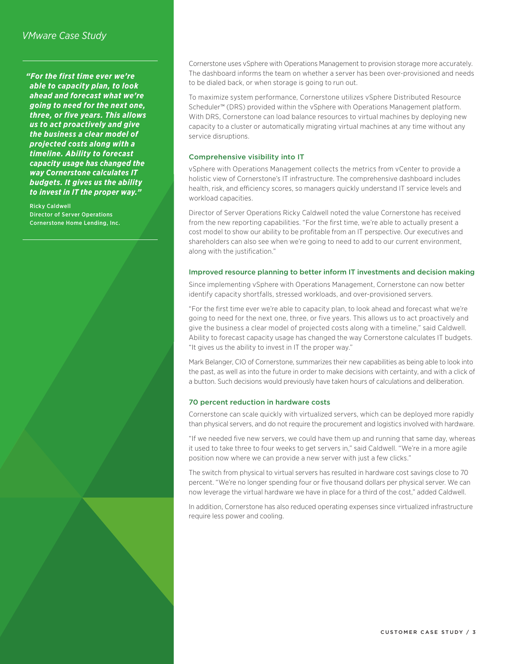*"For the first time ever we're able to capacity plan, to look ahead and forecast what we're going to need for the next one, three, or five years. This allows us to act proactively and give the business a clear model of projected costs along with a timeline. Ability to forecast capacity usage has changed the way Cornerstone calculates IT budgets. It gives us the ability to invest in IT the proper way."*

Ricky Caldwell Director of Server Operations Cornerstone Home Lending, Inc. Cornerstone uses vSphere with Operations Management to provision storage more accurately. The dashboard informs the team on whether a server has been over-provisioned and needs to be dialed back, or when storage is going to run out.

To maximize system performance, Cornerstone utilizes vSphere Distributed Resource Scheduler™ (DRS) provided within the vSphere with Operations Management platform. With DRS, Cornerstone can load balance resources to virtual machines by deploying new capacity to a cluster or automatically migrating virtual machines at any time without any service disruptions.

#### Comprehensive visibility into IT

vSphere with Operations Management collects the metrics from vCenter to provide a holistic view of Cornerstone's IT infrastructure. The comprehensive dashboard includes health, risk, and efficiency scores, so managers quickly understand IT service levels and workload capacities.

Director of Server Operations Ricky Caldwell noted the value Cornerstone has received from the new reporting capabilities. "For the first time, we're able to actually present a cost model to show our ability to be profitable from an IT perspective. Our executives and shareholders can also see when we're going to need to add to our current environment, along with the justification."

#### Improved resource planning to better inform IT investments and decision making

Since implementing vSphere with Operations Management, Cornerstone can now better identify capacity shortfalls, stressed workloads, and over-provisioned servers.

"For the first time ever we're able to capacity plan, to look ahead and forecast what we're going to need for the next one, three, or five years. This allows us to act proactively and give the business a clear model of projected costs along with a timeline," said Caldwell. Ability to forecast capacity usage has changed the way Cornerstone calculates IT budgets. "It gives us the ability to invest in IT the proper way."

Mark Belanger, CIO of Cornerstone, summarizes their new capabilities as being able to look into the past, as well as into the future in order to make decisions with certainty, and with a click of a button. Such decisions would previously have taken hours of calculations and deliberation.

#### 70 percent reduction in hardware costs

Cornerstone can scale quickly with virtualized servers, which can be deployed more rapidly than physical servers, and do not require the procurement and logistics involved with hardware.

"If we needed five new servers, we could have them up and running that same day, whereas it used to take three to four weeks to get servers in," said Caldwell. "We're in a more agile position now where we can provide a new server with just a few clicks."

The switch from physical to virtual servers has resulted in hardware cost savings close to 70 percent. "We're no longer spending four or five thousand dollars per physical server. We can now leverage the virtual hardware we have in place for a third of the cost," added Caldwell.

In addition, Cornerstone has also reduced operating expenses since virtualized infrastructure require less power and cooling.